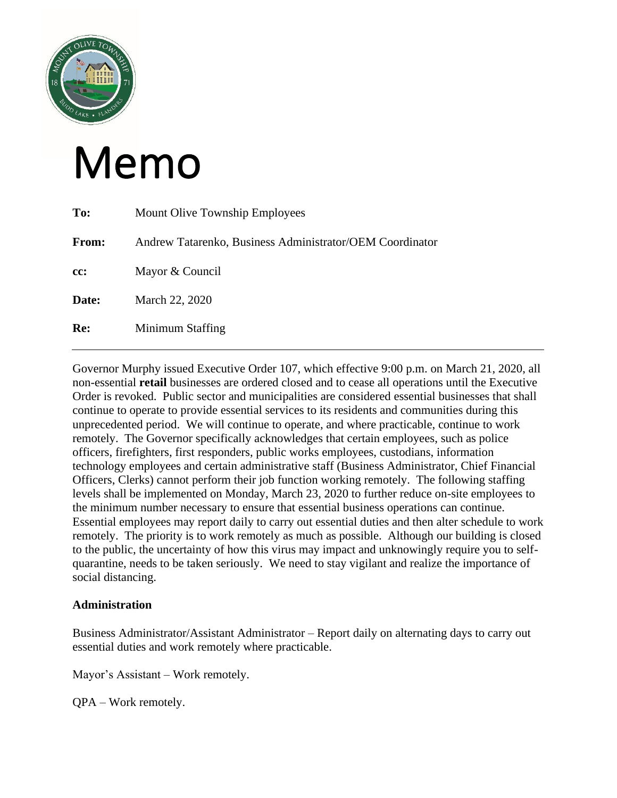

# Memo

| To:   | <b>Mount Olive Township Employees</b>                    |
|-------|----------------------------------------------------------|
| From: | Andrew Tatarenko, Business Administrator/OEM Coordinator |
| cc:   | Mayor & Council                                          |
| Date: | March 22, 2020                                           |
| Re:   | Minimum Staffing                                         |

Governor Murphy issued Executive Order 107, which effective 9:00 p.m. on March 21, 2020, all non-essential **retail** businesses are ordered closed and to cease all operations until the Executive Order is revoked. Public sector and municipalities are considered essential businesses that shall continue to operate to provide essential services to its residents and communities during this unprecedented period. We will continue to operate, and where practicable, continue to work remotely. The Governor specifically acknowledges that certain employees, such as police officers, firefighters, first responders, public works employees, custodians, information technology employees and certain administrative staff (Business Administrator, Chief Financial Officers, Clerks) cannot perform their job function working remotely. The following staffing levels shall be implemented on Monday, March 23, 2020 to further reduce on-site employees to the minimum number necessary to ensure that essential business operations can continue. Essential employees may report daily to carry out essential duties and then alter schedule to work remotely. The priority is to work remotely as much as possible. Although our building is closed to the public, the uncertainty of how this virus may impact and unknowingly require you to selfquarantine, needs to be taken seriously. We need to stay vigilant and realize the importance of social distancing.

# **Administration**

Business Administrator/Assistant Administrator – Report daily on alternating days to carry out essential duties and work remotely where practicable.

Mayor's Assistant – Work remotely.

QPA – Work remotely.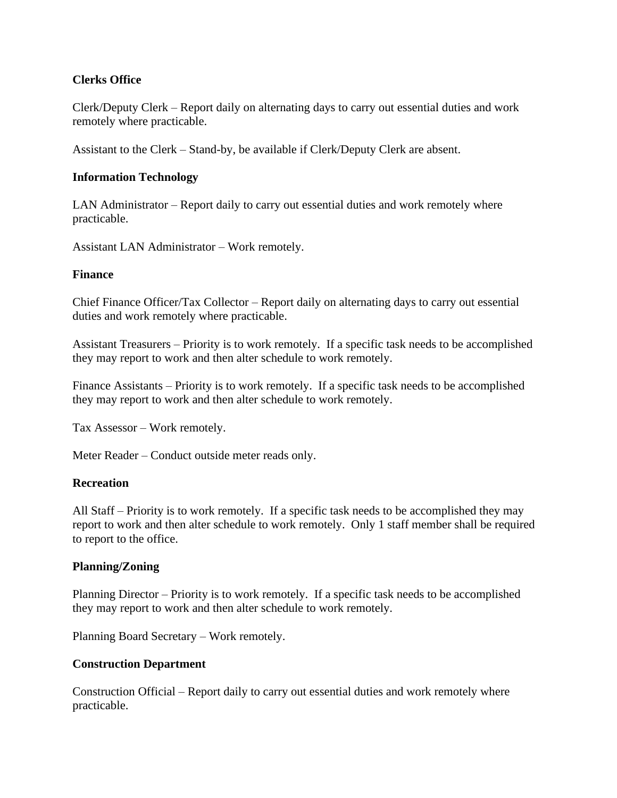# **Clerks Office**

Clerk/Deputy Clerk – Report daily on alternating days to carry out essential duties and work remotely where practicable.

Assistant to the Clerk – Stand-by, be available if Clerk/Deputy Clerk are absent.

# **Information Technology**

LAN Administrator – Report daily to carry out essential duties and work remotely where practicable.

Assistant LAN Administrator – Work remotely.

# **Finance**

Chief Finance Officer/Tax Collector – Report daily on alternating days to carry out essential duties and work remotely where practicable.

Assistant Treasurers – Priority is to work remotely. If a specific task needs to be accomplished they may report to work and then alter schedule to work remotely.

Finance Assistants – Priority is to work remotely. If a specific task needs to be accomplished they may report to work and then alter schedule to work remotely.

Tax Assessor – Work remotely.

Meter Reader – Conduct outside meter reads only.

#### **Recreation**

All Staff – Priority is to work remotely. If a specific task needs to be accomplished they may report to work and then alter schedule to work remotely. Only 1 staff member shall be required to report to the office.

#### **Planning/Zoning**

Planning Director – Priority is to work remotely. If a specific task needs to be accomplished they may report to work and then alter schedule to work remotely.

Planning Board Secretary – Work remotely.

#### **Construction Department**

Construction Official – Report daily to carry out essential duties and work remotely where practicable.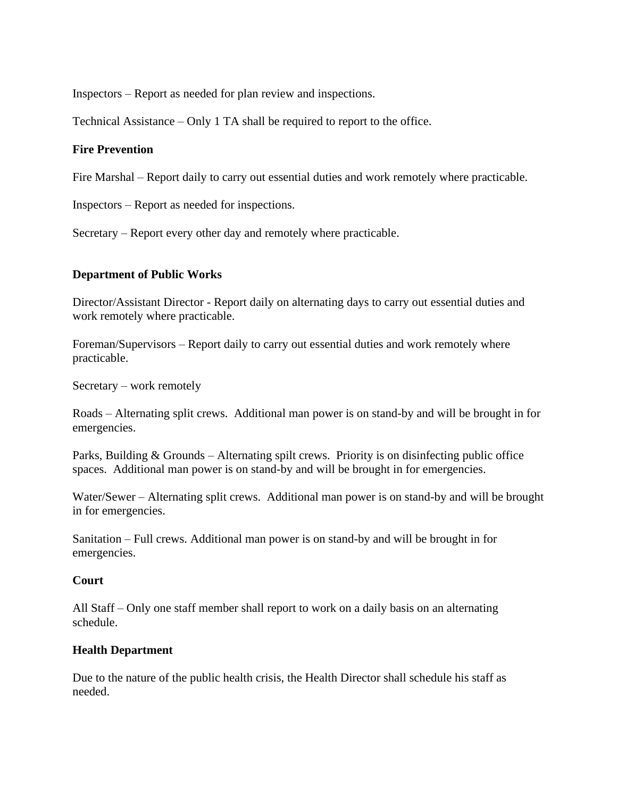Inspectors – Report as needed for plan review and inspections.

Technical Assistance – Only 1 TA shall be required to report to the office.

# **Fire Prevention**

Fire Marshal – Report daily to carry out essential duties and work remotely where practicable.

Inspectors – Report as needed for inspections.

Secretary – Report every other day and remotely where practicable.

# **Department of Public Works**

Director/Assistant Director - Report daily on alternating days to carry out essential duties and work remotely where practicable.

Foreman/Supervisors – Report daily to carry out essential duties and work remotely where practicable.

Secretary – work remotely

Roads – Alternating split crews. Additional man power is on stand-by and will be brought in for emergencies.

Parks, Building & Grounds – Alternating spilt crews. Priority is on disinfecting public office spaces. Additional man power is on stand-by and will be brought in for emergencies.

Water/Sewer – Alternating split crews. Additional man power is on stand-by and will be brought in for emergencies.

Sanitation – Full crews. Additional man power is on stand-by and will be brought in for emergencies.

#### **Court**

All Staff – Only one staff member shall report to work on a daily basis on an alternating schedule.

#### **Health Department**

Due to the nature of the public health crisis, the Health Director shall schedule his staff as needed.